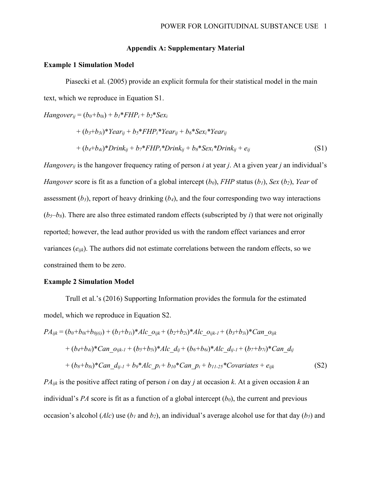## **Appendix A: Supplementary Material**

### **Example 1 Simulation Model**

Piasecki et al. (2005) provide an explicit formula for their statistical model in the main text, which we reproduce in Equation S1.

*Hangover*<sub>ij</sub> =  $(b_0 + b_{0i}) + b_1 * FHP_i + b_2 * Sex_i$ 

$$
+(b_3+b_{3i})^*Year_{ij}+b_5*FHP_i*Year_{ij}+b_6*Sex_i*Year_{ij}
$$
  
+
$$
(b_4+b_{4i})^*Drink_{ij}+b_7*FHP_i*Drink_{ij}+b_8*Sex_i*Drink_{ij}+e_{ij}
$$
 (S1)

*Hangoverij* is the hangover frequency rating of person *i* at year *j*. At a given year *j* an individual's *Hangover* score is fit as a function of a global intercept  $(b_0)$ , *FHP* status  $(b_1)$ , *Sex*  $(b_2)$ , *Year* of assessment  $(b_3)$ , report of heavy drinking  $(b_4)$ , and the four corresponding two way interactions  $(b_5-b_8)$ . There are also three estimated random effects (subscripted by *i*) that were not originally reported; however, the lead author provided us with the random effect variances and error variances (*eijk*). The authors did not estimate correlations between the random effects, so we constrained them to be zero.

### **Example 2 Simulation Model**

Trull et al.'s (2016) Supporting Information provides the formula for the estimated model, which we reproduce in Equation S2.

$$
PA_{ijk} = (b_0 + b_{0i} + b_{0j(i)}) + (b_1 + b_{1i}) * Alc\_{0ijk} + (b_2 + b_{2i}) * Alc\_{0ijk-1} + (b_3 + b_{3i}) * Can\_{0ijk} + (b_4 + b_{4i}) * Can\_{0ijk-1} + (b_5 + b_{5i}) * Alc\_{dij} + (b_6 + b_{6i}) * Alc\_{dij-1} + (b_7 + b_{7i}) * Can\_{dij} + (b_8 + b_{8i}) * Can\_{dij-1} + b_9 * Alc\_{pi} + b_{10} * Can\_{pi} + b_{11\text{-}25} * Covariates + e_{ijk}
$$
(S2)

*PAijk* is the positive affect rating of person *i* on day *j* at occasion *k*. At a given occasion *k* an individual's *PA* score is fit as a function of a global intercept  $(b_0)$ , the current and previous occasion's alcohol (*Alc*) use (*b1* and *b2*), an individual's average alcohol use for that day (*b5*) and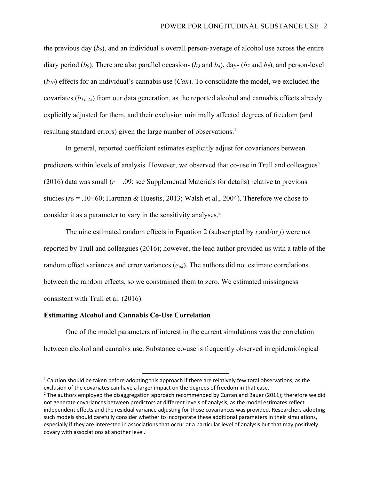the previous day  $(b_6)$ , and an individual's overall person-average of alcohol use across the entire diary period (*b<sub>9</sub>*). There are also parallel occasion- (*b<sub>3</sub>* and *b<sub>4</sub>*), day- (*b<sub>7</sub>* and *b<sub>8</sub>*), and person-level (*b10*) effects for an individual's cannabis use (*Can*). To consolidate the model, we excluded the covariates (*b11-25*) from our data generation, as the reported alcohol and cannabis effects already explicitly adjusted for them, and their exclusion minimally affected degrees of freedom (and resulting standard errors) given the large number of observations.<sup>1</sup>

In general, reported coefficient estimates explicitly adjust for covariances between predictors within levels of analysis. However, we observed that co-use in Trull and colleagues' (2016) data was small  $(r = .09)$ ; see Supplemental Materials for details) relative to previous studies (*r*s = .10-.60; Hartman & Huestis, 2013; Walsh et al., 2004). Therefore we chose to consider it as a parameter to vary in the sensitivity analyses.<sup>2</sup>

The nine estimated random effects in Equation 2 (subscripted by *i* and/or *j*) were not reported by Trull and colleagues (2016); however, the lead author provided us with a table of the random effect variances and error variances (*eijk*). The authors did not estimate correlations between the random effects, so we constrained them to zero. We estimated missingness consistent with Trull et al. (2016).

### **Estimating Alcohol and Cannabis Co-Use Correlation**

One of the model parameters of interest in the current simulations was the correlation between alcohol and cannabis use. Substance co-use is frequently observed in epidemiological

 $1$  Caution should be taken before adopting this approach if there are relatively few total observations, as the exclusion of the covariates can have a larger impact on the degrees of freedom in that case.

 $2$  The authors employed the disaggregation approach recommended by Curran and Bauer (2011); therefore we did not generate covariances between predictors at different levels of analysis, as the model estimates reflect independent effects and the residual variance adjusting for those covariances was provided. Researchers adopting such models should carefully consider whether to incorporate these additional parameters in their simulations, especially if they are interested in associations that occur at a particular level of analysis but that may positively covary with associations at another level.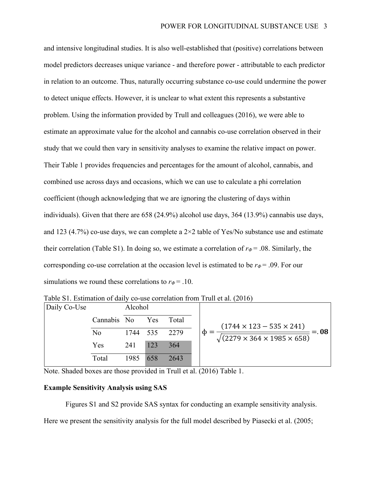and intensive longitudinal studies. It is also well-established that (positive) correlations between model predictors decreases unique variance - and therefore power - attributable to each predictor in relation to an outcome. Thus, naturally occurring substance co-use could undermine the power to detect unique effects. However, it is unclear to what extent this represents a substantive problem. Using the information provided by Trull and colleagues (2016), we were able to estimate an approximate value for the alcohol and cannabis co-use correlation observed in their study that we could then vary in sensitivity analyses to examine the relative impact on power. Their Table 1 provides frequencies and percentages for the amount of alcohol, cannabis, and combined use across days and occasions, which we can use to calculate a phi correlation coefficient (though acknowledging that we are ignoring the clustering of days within individuals). Given that there are 658 (24.9%) alcohol use days, 364 (13.9%) cannabis use days, and 123 (4.7%) co-use days, we can complete a  $2\times 2$  table of Yes/No substance use and estimate their correlation (Table S1). In doing so, we estimate a correlation of  $r\phi = .08$ . Similarly, the corresponding co-use correlation at the occasion level is estimated to be  $r\varphi = .09$ . For our simulations we round these correlations to  $r_{\phi} = .10$ .

|                          | Alcohol |             |          |                                                                                                            |
|--------------------------|---------|-------------|----------|------------------------------------------------------------------------------------------------------------|
|                          |         | Yes         | Total    | $(1744 \times 123 - 535 \times 241)$<br>$= 0.08$<br>φ<br>$\sqrt{(2279 \times 364 \times 1985 \times 658)}$ |
| No                       |         |             |          |                                                                                                            |
| 123<br>Yes<br>241<br>364 |         |             |          |                                                                                                            |
| Total                    | 1985    | 658         | 2643     |                                                                                                            |
|                          |         | Cannabis No | 1744 535 | 2279                                                                                                       |

Table S1. Estimation of daily co-use correlation from Trull et al. (2016)

Note. Shaded boxes are those provided in Trull et al. (2016) Table 1.

## **Example Sensitivity Analysis using SAS**

Figures S1 and S2 provide SAS syntax for conducting an example sensitivity analysis.

Here we present the sensitivity analysis for the full model described by Piasecki et al. (2005;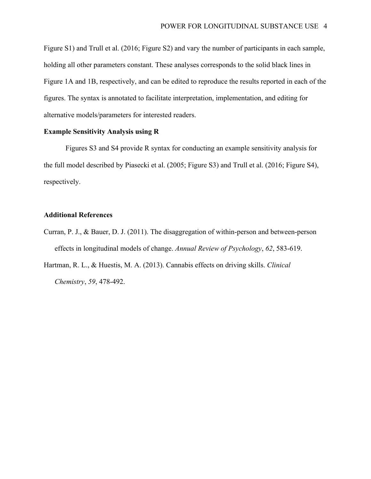Figure S1) and Trull et al. (2016; Figure S2) and vary the number of participants in each sample, holding all other parameters constant. These analyses corresponds to the solid black lines in Figure 1A and 1B, respectively, and can be edited to reproduce the results reported in each of the figures. The syntax is annotated to facilitate interpretation, implementation, and editing for alternative models/parameters for interested readers.

## **Example Sensitivity Analysis using R**

Figures S3 and S4 provide R syntax for conducting an example sensitivity analysis for the full model described by Piasecki et al. (2005; Figure S3) and Trull et al. (2016; Figure S4), respectively.

### **Additional References**

- Curran, P. J., & Bauer, D. J. (2011). The disaggregation of within-person and between-person effects in longitudinal models of change. *Annual Review of Psychology*, *62*, 583-619.
- Hartman, R. L., & Huestis, M. A. (2013). Cannabis effects on driving skills. *Clinical Chemistry*, *59*, 478-492.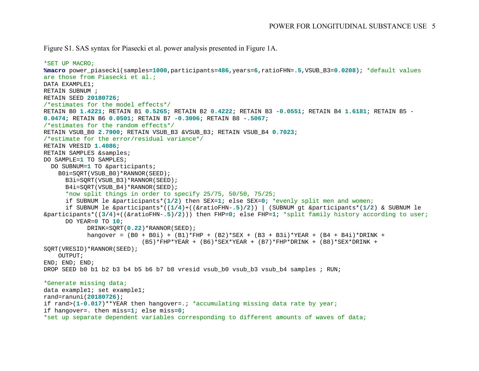Figure S1. SAS syntax for Piasecki et al. power analysis presented in Figure 1A.

```
*SET UP MACRO;
%macro power_piasecki(samples=1000,participants=486,years=6,ratioFHN=.5,VSUB_B3=0.0208); *default values 
are those from Piasecki et al.;
DATA EXAMPLE1;
RETAIN SUBNUM ;
RETAIN SEED 20180726;
/*estimates for the model effects*/
RETAIN B0 1.4221; RETAIN B1 0.5265; RETAIN B2 0.4222; RETAIN B3 -0.0551; RETAIN B4 1.6181; RETAIN B5 -
0.0474; RETAIN B6 0.0501; RETAIN B7 -0.3006; RETAIN B8 -.5067; 
/*estimates for the random effects*/
RETAIN VSUB_B0 2.7900; RETAIN VSUB_B3 &VSUB_B3; RETAIN VSUB_B4 0.7023;
/*estimate for the error/residual variance*/
RETAIN VRESID 1.4086; 
RETAIN SAMPLES &samples; 
DO SAMPLE=1 TO SAMPLES;
  DO SUBNUM=1 TO &participants;
    B0i=SQRT(VSUB_B0)*RANNOR(SEED);
     B3i=SQRT(VSUB B3)*RANNOR(SEED);
     B4i=SORT(VSUB B4) *RANNOR(SEED);
      *now split things in order to specify 25/75, 50/50, 75/25;
     if SUBNUM le &participants*(1/2) then SEX=1; else SEX=0; *evenly split men and women;
      if SUBNUM le &participants*((1/4)+((&ratioFHN-.5)/2)) | (SUBNUM gt &participants*(1/2) & SUBNUM le 
&participants*((3/4)+((&ratioFHN-.5)/2))) then FHP=0; else FHP=1; *split family history according to user;
     DO YEAR=0 TO 10;
            DRINK=SQRT(0.22)*RANNOR(SEED); 
            hangover = (B0 + B0i) + (B1)*FHP + (B2)*SEX + (B3 + B3i)*YEAR + (B4 + B4i)*DRINK +(B5)*FHP*YEAR + (B6)*SEX*YEAR + (B7)*FHP*DRINK + (B8)*SEX*DRINK +SQRT(VRESID)*RANNOR(SEED);
    OUTPUT;
END; END; END;
DROP SEED b0 b1 b2 b3 b4 b5 b6 b7 b8 vresid vsub b0 vsub b3 vsub b4 samples ; RUN;
*Generate missing data;
data example1; set example1;
rand=ranuni(20180726);
if rand>(1-0.017)**YEAR then hangover=.; *accumulating missing data rate by year;
if hangover=. then miss=1; else miss=0;
*set up separate dependent variables corresponding to different amounts of waves of data;
```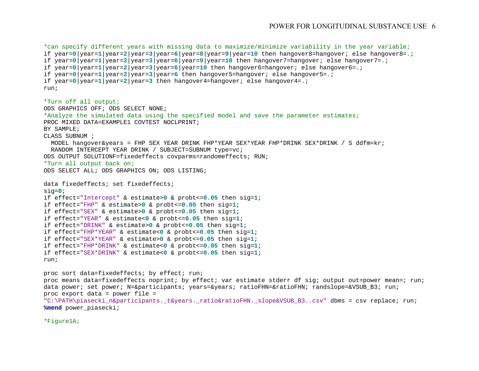```
*can specify different years with missing data to maximize/minimize variability in the year variable;
if year=0|year=1|year=2|year=3|year=6|year=8|year=9|year=10 then hangover8=hangover; else hangover8=.;
if year=0|year=1|year=2|year=3|year=6|year=9|year=10 then hangover7=hangover; else hangover7=.;
if year=0|year=1|year=2|year=3|year=6|year=10 then hangover6=hangover; else hangover6=.;
if year=0|year=1|year=2|year=3|year=6 then hangover5=hangover; else hangover5=.;
if year=0|year=1|year=2|year=3 then hangover4=hangover; else hangover4=.;
run;
*Turn off all output;
ODS GRAPHICS OFF; ODS SELECT NONE;
*Analyze the simulated data using the specified model and save the parameter estimates;
PROC MIXED DATA=EXAMPLE1 COVTEST NOCLPRINT;
BY SAMPLE;
CLASS SUBNUM ;
  MODEL hangover&years = FHP SEX YEAR DRINK FHP*YEAR SEX*YEAR FHP*DRINK SEX*DRINK / S ddfm=kr;
  RANDOM INTERCEPT YEAR DRINK / SUBJECT=SUBNUM type=vc;
ODS OUTPUT SOLUTIONF=fixedeffects covparms=randomeffects; RUN;
*Turn all output back on;
ODS SELECT ALL; ODS GRAPHICS ON; ODS LISTING;
data fixedeffects; set fixedeffects;
sig=0;
if effect="Intercept" & estimate>0 & probt<=0.05 then sig=1; 
if effect="FHP" & estimate>0 & probt<=0.05 then sig=1; 
if effect="SEX" & estimate>0 & probt<=0.05 then sig=1; 
if effect="YEAR" & estimate<0 & probt<=0.05 then sig=1; 
if effect="DRINK" & estimate>0 & probt<=0.05 then sig=1; 
if effect="FHP*YEAR" & estimate<0 & probt<=0.05 then sig=1; 
if effect="SEX*YEAR" & estimate>0 & probt<=0.05 then sig=1; 
if effect="FHP*DRINK" & estimate<0 & probt<=0.05 then sig=1; 
if effect="SEX*DRINK" & estimate<0 & probt<=0.05 then sig=1; 
run;
proc sort data=fixedeffects; by effect; run;
proc means data=fixedeffects noprint; by effect; var estimate stderr df sig; output out=power mean=; run;
data power; set power; N=&participants; years=&years; ratioFHN=&ratioFHN; randslope=&VSUB B3; run;
proc export data = power file = 
"C:\PATH\piasecki n&participants. t&years. ratio&ratioFHN. slope&VSUB B3..csv" dbms = csv replace; run;
```
**%mend** power\_piasecki;

\*Figure1A;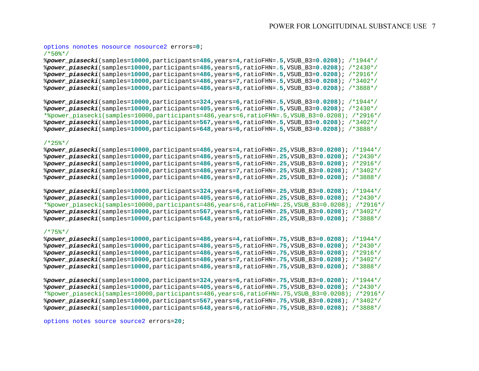#### options nonotes nosource nosource2 errors=**0**; /\*50%\*/

%*power\_piasecki*(samples=**10000**,participants=**486**,years=**4**,ratioFHN=**.5**,VSUB\_B3=**0.0208**); /\*1944\*/ %*power\_piasecki*(samples=**10000**,participants=**486**,years=**5**,ratioFHN=**.5**,VSUB\_B3=**0.0208**); /\*2430\*/ %*power\_piasecki*(samples=**10000**,participants=**486**,years=**6**,ratioFHN=**.5**,VSUB\_B3=**0.0208**); /\*2916\*/ %*power\_piasecki*(samples=**10000**,participants=**486**,years=**7**,ratioFHN=**.5**,VSUB\_B3=**0.0208**); /\*3402\*/ %*power\_piasecki*(samples=**10000**,participants=**486**,years=**8**,ratioFHN=**.5**,VSUB\_B3=**0.0208**); /\*3888\*/

%*power\_piasecki*(samples=**10000**,participants=**324**,years=**6**,ratioFHN=**.5**,VSUB\_B3=**0.0208**); /\*1944\*/ %*power\_piasecki*(samples=**10000**,participants=**405**,years=**6**,ratioFHN=**.5**,VSUB\_B3=**0.0208**); /\*2430\*/ \*%power\_piasecki(samples=10000,participants=486,years=6,ratioFHN=.5,VSUB\_B3=0.0208); /\*2916\*/ %*power\_piasecki*(samples=**10000**,participants=**567**,years=**6**,ratioFHN=**.5**,VSUB\_B3=**0.0208**); /\*3402\*/ %*power\_piasecki*(samples=**10000**,participants=**648**,years=**6**,ratioFHN=**.5**,VSUB\_B3=**0.0208**); /\*3888\*/

#### $7*25$ \*/

%*power\_piasecki*(samples=**10000**,participants=**486**,years=**4**,ratioFHN=**.25**,VSUB\_B3=**0.0208**); /\*1944\*/ %*power\_piasecki*(samples=**10000**,participants=**486**,years=**5**,ratioFHN=**.25**,VSUB\_B3=**0.0208**); /\*2430\*/ %*power\_piasecki*(samples=**10000**,participants=**486**,years=**6**,ratioFHN=**.25**,VSUB\_B3=**0.0208**); /\*2916\*/ %*power\_piasecki*(samples=**10000**,participants=**486**,years=**7**,ratioFHN=**.25**,VSUB\_B3=**0.0208**); /\*3402\*/ %*power\_piasecki*(samples=**10000**,participants=**486**,years=**8**,ratioFHN=**.25**,VSUB\_B3=**0.0208**); /\*3888\*/

%*power\_piasecki*(samples=**10000**,participants=**324**,years=**6**,ratioFHN=**.25**,VSUB\_B3=**0.0208**); /\*1944\*/ %*power\_piasecki*(samples=**10000**,participants=**405**,years=**6**,ratioFHN=**.25**,VSUB\_B3=**0.0208**); /\*2430\*/ \*%power\_piasecki(samples=10000,participants=486,years=6,ratioFHN=.25,VSUB\_B3=0.0208); /\*2916\*/ %*power\_piasecki*(samples=**10000**,participants=**567**,years=**6**,ratioFHN=**.25**,VSUB\_B3=**0.0208**); /\*3402\*/ %*power\_piasecki*(samples=**10000**,participants=**648**,years=**6**,ratioFHN=**.25**,VSUB\_B3=**0.0208**); /\*3888\*/

#### /\*75%\*/

```
%power_piasecki(samples=10000,participants=486,years=4,ratioFHN=.75,VSUB_B3=0.0208); /*1944*/
%power_piasecki(samples=10000,participants=486,years=5,ratioFHN=.75,VSUB_B3=0.0208); /*2430*/
%power_piasecki(samples=10000,participants=486,years=6,ratioFHN=.75,VSUB_B3=0.0208); /*2916*/
%power_piasecki(samples=10000,participants=486,years=7,ratioFHN=.75,VSUB_B3=0.0208); /*3402*/
%power_piasecki(samples=10000,participants=486,years=8,ratioFHN=.75,VSUB_B3=0.0208); /*3888*/
```
%*power\_piasecki*(samples=**10000**,participants=**324**,years=**6**,ratioFHN=**.75**,VSUB\_B3=**0.0208**); /\*1944\*/ %*power\_piasecki*(samples=**10000**,participants=**405**,years=**6**,ratioFHN=**.75**,VSUB\_B3=**0.0208**); /\*2430\*/ \*%power\_piasecki(samples=10000,participants=486,years=6,ratioFHN=.75,VSUB\_B3=0.0208); /\*2916\*/ %*power\_piasecki*(samples=**10000**,participants=**567**,years=**6**,ratioFHN=**.75**,VSUB\_B3=**0.0208**); /\*3402\*/ %*power\_piasecki*(samples=**10000**,participants=**648**,years=**6**,ratioFHN=**.75**,VSUB\_B3=**0.0208**); /\*3888\*/

options notes source source2 errors=**20**;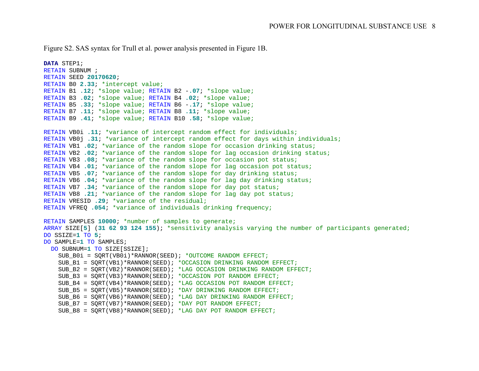Figure S2. SAS syntax for Trull et al. power analysis presented in Figure 1B.

```
DATA STEP1;
RETAIN SUBNUM ;
RETAIN SEED 20170620;
RETAIN B0 2.33; *intercept value;
RETAIN B1 .12; *slope value; RETAIN B2 -.07; *slope value;
RETAIN B3 .02; *slope value; RETAIN B4 .02; *slope value;
RETAIN B5 .33; *slope value; RETAIN B6 -.17; *slope value;
RETAIN B7 .11; *slope value; RETAIN B8 .11; *slope value;
RETAIN B9 .41; *slope value; RETAIN B10 .58; *slope value;
RETAIN VB0i .11; *variance of intercept random effect for individuals;
RETAIN VB0j .31; *variance of intercept random effect for days within individuals;
RETAIN VB1 .02; *variance of the random slope for occasion drinking status;
RETAIN VB2 .02; *variance of the random slope for lag occasion drinking status;
RETAIN VB3 .08; *variance of the random slope for occasion pot status;
RETAIN VB4 .01; *variance of the random slope for lag occasion pot status;
RETAIN VB5 .07; *variance of the random slope for day drinking status;
RETAIN VB6 .04; *variance of the random slope for lag day drinking status;
RETAIN VB7 .34; *variance of the random slope for day pot status;
RETAIN VB8 .21; *variance of the random slope for lag day pot status;
RETAIN VRESID .29; *variance of the residual;
RETAIN VFREQ .054; *variance of individuals drinking frequency;
RETAIN SAMPLES 10000; *number of samples to generate;
ARRAY SIZE[5] (31 62 93 124 155); *sensitivity analysis varying the number of participants generated;
DO SSIZE=1 TO 5;
DO SAMPLE=1 TO SAMPLES;
  DO SUBNUM=1 TO SIZE[SSIZE];
   SUB B0i = SORT(VB0i)*RANNOR(SEED); *OUTCOME RANDOM EFFECT;
   SUB B1 = SORT(VB1)*RANNOR(SEED); *OCCASION DRINKING RANDOM EFFECT;
   SUB_B2 = SORT(VB2)*RANNOR(SEED); *LAG OCCASION DRINKING RANDOM EFFECT;
   SUB B3 = SORT(VB3)*RANNOR(SEED); *OCCASION POT RANDOM EFFECT;
    SUB_B4 = SQRT(VB4)*RANNOR(SEED); *LAG OCCASION POT RANDOM EFFECT;
   SUB B5 = SORT(VB5)*RANNOR(SEED); *DAY DRINKING RANDOM EFFECT;
   SUB B6 = SQRT(VB6)*RANNOR(SEED); *LAG DAY DRINKING RANDOM EFFECT;
   SUB B7 = SQRT(VB7)*RANNOR(SEED); *DAY POT RANDOM EFFECT;
   SUB B8 = SORT(VBB)*RANNOR(SEED); *LAG DAY POT RANDOM EFFECT;
```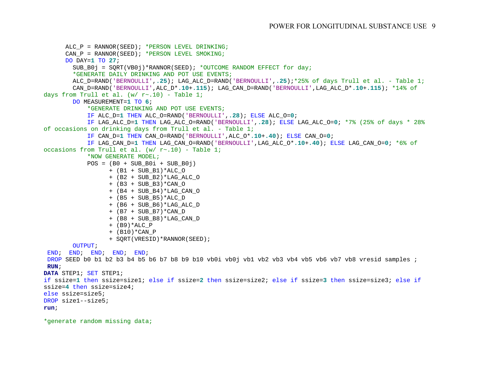```
ALC_P = RANNOR(SEED); *PERSON LEVEL DRINKING;
      CAN P = RANNOR(SEED); *PERSON LEVEL SMOKING;
      DO DAY=1 TO 27;
        SUB B0j = SQRT(VB0j)*RANNOR(SEED); *OUTCOME RANDOM EFFECT for day; *GENERATE DAILY DRINKING AND POT USE EVENTS;
         ALC_D=RAND('BERNOULLI',.25); LAG_ALC_D=RAND('BERNOULLI',.25);*25% of days Trull et al. - Table 1;
         CAN_D=RAND('BERNOULLI',ALC_D*.10+.115); LAG_CAN_D=RAND('BERNOULLI',LAG_ALC_D*.10+.115); *14% of 
days from Trull et al. (w / r \sim .10) - Table 1;
         DO MEASUREMENT=1 TO 6;
             *GENERATE DRINKING AND POT USE EVENTS;
             IF ALC_D=1 THEN ALC_O=RAND('BERNOULLI',.28); ELSE ALC_O=0; 
            IF LAG_ALC_D=1 THEN LAG_ALC_O=RAND('BERNOULLI',.28); ELSE LAG_ALC_O=0; *7% (25% of days * 28% 
of occasions on drinking days from Trull et al. - Table 1;
            IF CAN_D=1 THEN CAN_O=RAND('BERNOULLI',ALC_O*.10+.40); ELSE CAN_O=0; 
            IF LAG_CAN_D=1 THEN LAG_CAN_O=RAND('BERNOULLI',LAG_ALC_O*.10+.40); ELSE LAG_CAN_O=0; *6% of 
occasions from Trull et al. (w / r \sim .10) - Table 1;
            *NOW GENERATE MODEL;
            POS = (B0 + SUBB0i + SUBB0j)+ (B1 + SUB_B1)*ALC_O 
                  + (B2 + SUB_B2)*LAG_ALC_O 
                  + (B3 + SUB_B3)*CAN_O 
                  + (B4 + SUB_B4)*LAG_CAN_O
                  + (B5 + SUB_B5)*ALC_D 
                  + (B6 + SUB B6) *LAG ALC D
                  + (B7 + SUB_B7)*CAN_D 
                  + (B8 + SUB_B8)*LAG_CAN_D
                  + (B9) *ALC P
                  + (B10)*CAN_P
                  + SQRT(VRESID)*RANNOR(SEED);
        OUTPUT;
 END; END; END; END; END;
DROP SEED b0 b1 b2 b3 b4 b5 b6 b7 b8 b9 b10 vb0i vb0j vb1 vb2 vb3 vb4 vb5 vb6 vb7 vb8 vresid samples ;
RUN;
DATA STEP1; SET STEP1; 
if ssize=1 then ssize=size1; else if ssize=2 then ssize=size2; else if ssize=3 then ssize=size3; else if
ssize=4 then ssize=size4; 
else ssize=size5;
DROP size1--size5;
run;
```
\*generate random missing data;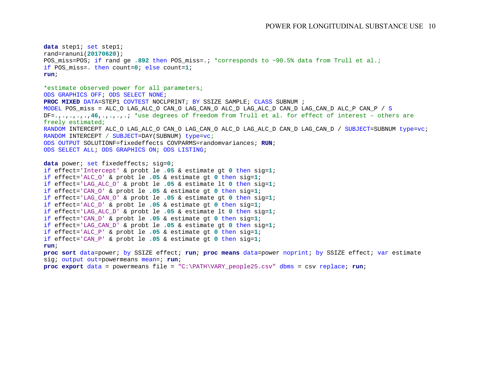```
data step1; set step1;
rand=ranuni(20170620);
POS_miss=POS; if rand ge .892 then POS_miss=.; *corresponds to ~90.5% data from Trull et al.;
if POS_miss=. then count=0; else count=1;
run;
*estimate observed power for all parameters;
ODS GRAPHICS OFF; ODS SELECT NONE;
PROC MIXED DATA=STEP1 COVTEST NOCLPRINT; BY SSIZE SAMPLE; CLASS SUBNUM ;
MODEL POS_miss = ALC_O LAG_ALC_O CAN_O LAG_CAN_O ALC_D LAG_ALC_D CAN_D LAG_CAN_D ALC_P CAN_P / S
DF=.,.,.,.,.,46,.,.,.,.; *use degrees of freedom from Trull et al. for effect of interest – others are 
freely estimated;
RANDOM INTERCEPT ALC_O LAG_ALC_O CAN_O LAG_CAN_O ALC_D LAG_ALC_D CAN_D LAG_CAN_D / SUBJECT=SUBNUM type=vc; 
RANDOM INTERCEPT / SUBJECT=DAY(SUBNUM) type=vc;
ODS OUTPUT SOLUTIONF=fixedeffects COVPARMS=randomvariances; RUN;
ODS SELECT ALL; ODS GRAPHICS ON; ODS LISTING;
data power; set fixedeffects; sig=0;
if effect='Intercept' & probt le .05 & estimate gt 0 then sig=1; 
if effect='ALC_O' & probt le .05 & estimate gt 0 then sig=1; 
if effect='LAG_ALC_O' & probt le .05 & estimate lt 0 then sig=1; 
if effect='CAN_O' & probt le .05 & estimate gt 0 then sig=1; 
if effect='LAG_CAN_O' & probt le .05 & estimate gt 0 then sig=1; 
if effect='ALC_D' & probt le .05 & estimate gt 0 then sig=1; 
if effect='LAG_ALC_D' & probt le .05 & estimate lt 0 then sig=1; 
if effect='CAN_D' & probt le .05 & estimate gt 0 then sig=1; 
if effect='LAG_CAN_D' & probt le .05 & estimate gt 0 then sig=1; 
if effect='ALC_P' & probt le .05 & estimate gt 0 then sig=1; 
if effect='CAN_P' & probt le .05 & estimate gt 0 then sig=1; 
run;
proc sort data=power; by SSIZE effect; run; proc means data=power noprint; by SSIZE effect; var estimate 
sig; output out=powermeans mean=; run;
proc export data = powermeans file = "C:\PATH\VARY_people25.csv" dbms = csv replace; run;
```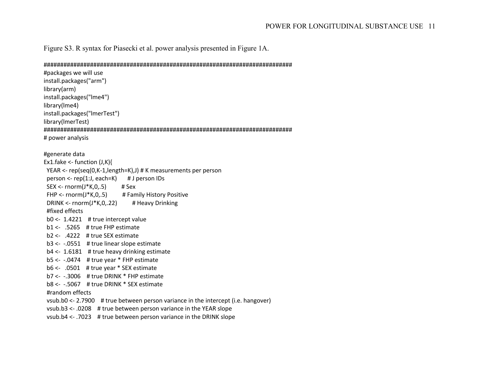Figure S3. R syntax for Piasecki et al. power analysis presented in Figure 1A.

### 

```
#packages we will use
install.packages("arm")
library(arm)
install.packages("Ime4")
library(lme4)
install.packages("ImerTest")
library(ImerTest)
# power analysis
#generate data
Ex1.fake <- function (J,K)YEAR <- rep(seq(0,K-1,length=K),J) # K measurements per person
 person <- rep(1:J, each=K)
                            # J person IDs
 SEX <- rnorm(J*K,0,.5)
                          # Sex
 FHP \leq rnorm(J*K, 0, .5)# Family History Positive
 DRINK <- rnorm(J*K, 0, .22)# Heavy Drinking
 #fixed effects
 b0 \leftarrow 1.4221 # true intercept value
 b1 \leftarrow .5265 # true FHP estimate
 b2 \leftarrow .4222 # true SEX estimate
 b3 \leftarrow -0551 # true linear slope estimate
 b4 <- 1.6181 # true heavy drinking estimate
 b5 < -0.0474 # true year * FHP estimate
 b6 <- .0501 # true year * SEX estimate
 b7 < -0.3006 # true DRINK * FHP estimate
 b8 < -0.5067 # true DRINK * SEX estimate
 #random effects
 vsub.b0 <- 2.7900 # true between person variance in the intercept (i.e. hangover)
 vsub.b3 <- .0208 # true between person variance in the YEAR slope
 vsub.b4 \leftarrow .7023 # true between person variance in the DRINK slope
```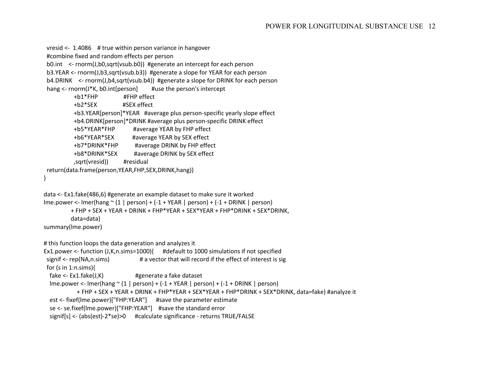## POWER FOR LONGITUDINAL SUBSTANCE USE 12

```
 vresid <- 1.4086 # true within person variance in hangover
  #combine fixed and random effects per person
  b0.int <- rnorm(J,b0,sqrt(vsub.b0)) #generate an intercept for each person
  b3.YEAR <- rnorm(J,b3,sqrt(vsub.b3)) #generate a slope for YEAR for each person
  b4.DRINK <- rnorm(J,b4,sqrt(vsub.b4)) #generate a slope for DRINK for each person
 hang <- rnorm(J*K, b0.int[person] #use the person's intercept
           +b1*FHP #FHP effect
           +b2*SEX #SEX effect
           +b3.YEAR[person]*YEAR #average plus person-specific yearly slope effect
           +b4.DRINK[person]*DRINK #average plus person-specific DRINK effect
           +b5*YEAR*FHP #average YEAR by FHP effect
           +b6*YEAR*SEX #average YEAR by SEX effect
           +b7*DRINK*FHP #average DRINK by FHP effect
           +b8*DRINK*SEX #average DRINK by SEX effect 
           ,sqrt(vresid)) #residual
  return(data.frame(person,YEAR,FHP,SEX,DRINK,hang))
}
data <- Ex1.fake(486,6) #generate an example dataset to make sure it worked
lme.power <- lmer(hang ~ (1 | person) + (-1 + YEAR | person) + (-1 + DRINK | person) 
          + FHP + SEX + YEAR + DRINK + FHP*YEAR + SEX*YEAR + FHP*DRINK + SEX*DRINK,
          data=data)
summary(lme.power)
# this function loops the data generation and analyzes it
Ex1.power <- function (J,K,n.sims=1000){ #default to 1000 simulations if not specified
 signif <- rep(NA,n.sims) # a vector that will record if the effect of interest is sig
  for (s in 1:n.sims){
   fake <- Ex1.fake(J,K) #generate a fake dataset
  lme.power <- lmer(hang \sim (1 | person) + (-1 + YEAR | person) + (-1 + DRINK | person)
            + FHP + SEX + YEAR + DRINK + FHP*YEAR + SEX*YEAR + FHP*DRINK + SEX*DRINK, data=fake) #analyze it
   est <- fixef(lme.power)["FHP:YEAR"] #save the parameter estimate
   se <- se.fixef(lme.power)["FHP:YEAR"] #save the standard error
   signif[s] <- (abs(est)-2*se)>0 #calculate significance - returns TRUE/FALSE
```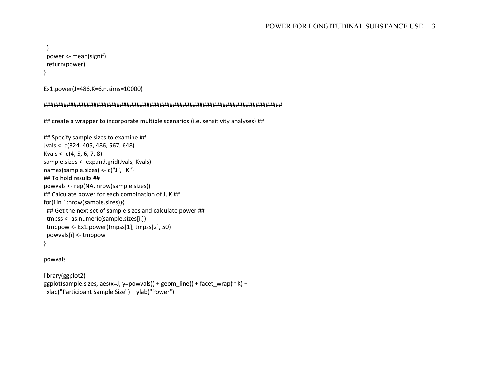```
 }
  power <- mean(signif)
 return(power)
}
```

```
Ex1.power(J=486,K=6,n.sims=10000)
```

```
########################################################################
```
## create a wrapper to incorporate multiple scenarios (i.e. sensitivity analyses) ##

```
## Specify sample sizes to examine ##
Jvals <- c(324, 405, 486, 567, 648)
Kvals <- c(4, 5, 6, 7, 8)
sample.sizes <- expand.grid(Jvals, Kvals)
names(sample.sizes) <- c("J", "K")
## To hold results ##
powvals <- rep(NA, nrow(sample.sizes))
## Calculate power for each combination of J, K ##
for(i in 1:nrow(sample.sizes)){
  ## Get the next set of sample sizes and calculate power ##
  tmpss <- as.numeric(sample.sizes[i,])
  tmppow <- Ex1.power(tmpss[1], tmpss[2], 50)
  powvals[i] <- tmppow
}
```
### powvals

```
library(ggplot2)
ggplot(sample.sizes, aes(x=J, y=powvals)) + geom_line() + facet_wrap(\simK) +
 xlab("Participant Sample Size") + ylab("Power")
```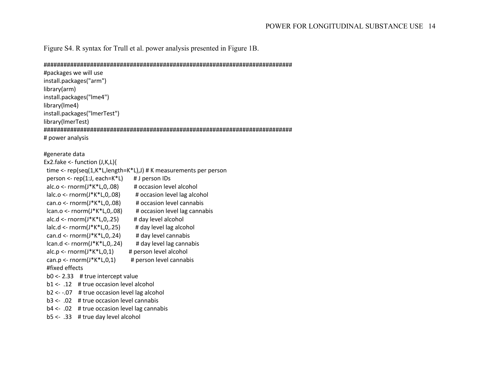Figure S4. R syntax for Trull et al. power analysis presented in Figure 1B.

### 

#packages we will use install.packages("arm") library(arm) install.packages("Ime4") library(Ime4) install.packages("ImerTest") library(ImerTest) # power analysis

## #generate data

| $Ex2.fake <$ - function $(J,K,L)$                                      |                                   |  |  |  |  |  |
|------------------------------------------------------------------------|-----------------------------------|--|--|--|--|--|
| time <- $rep(seq(1,K^*L)length=K^*L)$ , $\# K$ measurements per person |                                   |  |  |  |  |  |
| person <- $rep(1:J, each = K^*L)$                                      | # J person IDs                    |  |  |  |  |  |
| $alc.o <$ - rnorm $(J*K*L,0,.08)$                                      | # occasion level alcohol          |  |  |  |  |  |
| $lalc.o <$ - rnorm $(J*K*L, 0, .08)$                                   | # occasion level lag alcohol      |  |  |  |  |  |
| can.o <- $rnorm(J*K*L,0,.08)$                                          | # occasion level cannabis         |  |  |  |  |  |
| $lcan.o <$ - rnorm $(J*K*L, 0,.08)$                                    | # occasion level lag cannabis     |  |  |  |  |  |
| alc.d <- $rnorm(J*K*L, 0, .25)$                                        | # day level alcohol               |  |  |  |  |  |
| $lalc.d <$ - rnorm $(J*K*L, 0, .25)$                                   | # day level lag alcohol           |  |  |  |  |  |
| can.d <- $rnorm(J*K*L, 0, .24)$                                        | # day level cannabis              |  |  |  |  |  |
| $lcan.d <$ - rnorm $(J*K*L, 0, .24)$                                   | # day level lag cannabis          |  |  |  |  |  |
| $alc.p <$ - rnorm $(J*K*L, 0, 1)$                                      | # person level alcohol            |  |  |  |  |  |
| can.p <- $rnorm(J*K*L,0,1)$                                            | # person level cannabis           |  |  |  |  |  |
| #fixed effects                                                         |                                   |  |  |  |  |  |
| $b0 < -2.33$ # true intercept value                                    |                                   |  |  |  |  |  |
| b1 <- .12<br># true occasion level alcohol                             |                                   |  |  |  |  |  |
| b2 <- -.07                                                             | # true occasion level lag alcohol |  |  |  |  |  |
| 50. -> b3<br># true occasion level cannabis                            |                                   |  |  |  |  |  |
| $b4 < -02$<br># true occasion level lag cannabis                       |                                   |  |  |  |  |  |

 $b5 \leftarrow .33$  # true day level alcohol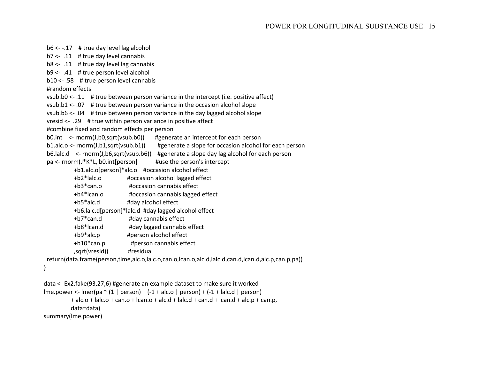$b6 < -0.17$  # true day level lag alcohol b7 <- .11 # true day level cannabis b8 <- .11 # true day level lag cannabis b9 <- .41 # true person level alcohol b10 <- .58 # true person level cannabis #random effects vsub.b0 <- .11 # true between person variance in the intercept (i.e. positive affect) vsub.b1 <- .07 # true between person variance in the occasion alcohol slope vsub.b6 <- .04 # true between person variance in the day lagged alcohol slope vresid <- .29 # true within person variance in positive affect #combine fixed and random effects per person b0.int <- rnorm(J,b0,sqrt(vsub.b0)) #generate an intercept for each person b1.alc.o <- rnorm(J,b1,sqrt(vsub.b1)) #generate a slope for occasion alcohol for each person b6.lalc.d <- rnorm(J,b6,sqrt(vsub.b6)) #generate a slope day lag alcohol for each person pa <- rnorm(J\*K\*L, b0.int[person] #use the person's intercept +b1.alc.o[person]\*alc.o #occasion alcohol effect +b2\*lalc.o #occasion alcohol lagged effect +b3\*can.o #occasion cannabis effect +b4\*lcan.o #occasion cannabis lagged effect +b5\*alc.d #day alcohol effect +b6.lalc.d[person]\*lalc.d #day lagged alcohol effect +b7\*can.d #day cannabis effect +b8\*lcan.d #day lagged cannabis effect +b9\*alc.p #person alcohol effect +b10\*can.p #person cannabis effect ,sqrt(vresid)) #residual return(data.frame(person,time,alc.o,lalc.o,can.o,lcan.o,alc.d,lalc.d,can.d,lcan.d,alc.p,can.p,pa)) } data <- Ex2.fake(93,27,6) #generate an example dataset to make sure it worked

```
\text{Im}e.power <- \text{Im}r(pa \text{~} (1 | person) + (-1 + alc.o | person) + (-1 + lalc.d | person)) + alc.o + lalc.o + can.o + lcan.o + alc.d + lalc.d + can.d + lcan.d + alc.p + can.p,
            data=data)
summary(lme.power)
```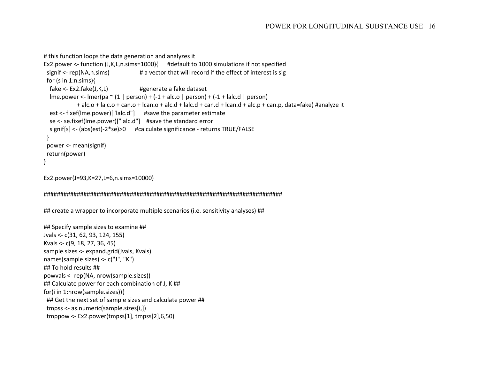# this function loops the data generation and analyzes it

```
Ex2.power <- function (J,K,L,n.sims=1000){ #default to 1000 simulations if not specified
                                     # a vector that will record if the effect of interest is sig
 signif <- rep(NA,n.sims)
 for (s in 1:n.sims)fake \leq- Ex2.fake(J,K,L)
                                     #generate a fake dataset
  \text{Im}e.power <- \text{Im}er\text{Im} \gamma (1 | person) + (-1 + alc.o | person) + (-1 + lalc.d | person)
             + alc.o + lalc.o + can.o + lcan.o + alc.d + lalc.d + can.d + lcan.d + alc.p + can.p, data=fake) #analyze it
  est <- fixef(lme.power)["lalc.d"] #save the parameter estimate
  se <- se.fixef(lme.power)["lalc.d"] #save the standard error
  signif[s] <- (abs(est)-2*se)>0 #calculate significance - returns TRUE/FALSE
 ł
 power <- mean(signif)
 return(power)
∤
```

```
Ex2.power(J=93,K=27,L=6,n.sims=10000)
```
## create a wrapper to incorporate multiple scenarios (i.e. sensitivity analyses) ##

## Specify sample sizes to examine ## Jvals <- c(31, 62, 93, 124, 155) Kvals <- c(9, 18, 27, 36, 45) sample.sizes <- expand.grid(Jvals, Kvals) names(sample.sizes) <- c("J", "K") ## To hold results ## powvals <- rep(NA, nrow(sample.sizes)) ## Calculate power for each combination of J, K ## for(i in 1:nrow(sample.sizes)){ ## Get the next set of sample sizes and calculate power ## tmpss <- as.numeric(sample.sizes[i,]) tmppow <- Ex2.power(tmpss[1], tmpss[2],6,50)